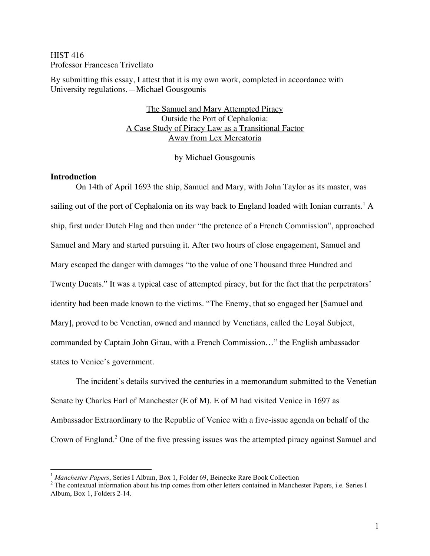# HIST 416 Professor Francesca Trivellato

By submitting this essay, I attest that it is my own work, completed in accordance with University regulations.—Michael Gousgounis

> The Samuel and Mary Attempted Piracy Outside the Port of Cephalonia: A Case Study of Piracy Law as a Transitional Factor Away from Lex Mercatoria

> > by Michael Gousgounis

#### **Introduction**

On 14th of April 1693 the ship, Samuel and Mary, with John Taylor as its master, was sailing out of the port of Cephalonia on its way back to England loaded with Ionian currants.<sup>1</sup> A ship, first under Dutch Flag and then under "the pretence of a French Commission", approached Samuel and Mary and started pursuing it. After two hours of close engagement, Samuel and Mary escaped the danger with damages "to the value of one Thousand three Hundred and Twenty Ducats." It was a typical case of attempted piracy, but for the fact that the perpetrators' identity had been made known to the victims. "The Enemy, that so engaged her [Samuel and Mary], proved to be Venetian, owned and manned by Venetians, called the Loyal Subject, commanded by Captain John Girau, with a French Commission…" the English ambassador states to Venice's government.

The incident's details survived the centuries in a memorandum submitted to the Venetian Senate by Charles Earl of Manchester (E of M). E of M had visited Venice in 1697 as Ambassador Extraordinary to the Republic of Venice with a five-issue agenda on behalf of the Crown of England.<sup>2</sup> One of the five pressing issues was the attempted piracy against Samuel and

<sup>&</sup>lt;sup>1</sup> *Manchester Papers*, Series I Album, Box 1, Folder 69, Beinecke Rare Book Collection <sup>2</sup> The contextual information about his trip comes from other letters contained in Manchester Papers, i.e. Series I Album, Box 1, Folders 2-14.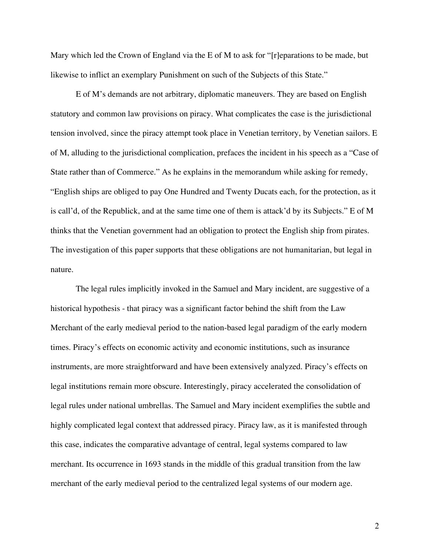Mary which led the Crown of England via the E of M to ask for "reparations to be made, but likewise to inflict an exemplary Punishment on such of the Subjects of this State."

E of M's demands are not arbitrary, diplomatic maneuvers. They are based on English statutory and common law provisions on piracy. What complicates the case is the jurisdictional tension involved, since the piracy attempt took place in Venetian territory, by Venetian sailors. E of M, alluding to the jurisdictional complication, prefaces the incident in his speech as a "Case of State rather than of Commerce." As he explains in the memorandum while asking for remedy, "English ships are obliged to pay One Hundred and Twenty Ducats each, for the protection, as it is call'd, of the Republick, and at the same time one of them is attack'd by its Subjects." E of M thinks that the Venetian government had an obligation to protect the English ship from pirates. The investigation of this paper supports that these obligations are not humanitarian, but legal in nature.

The legal rules implicitly invoked in the Samuel and Mary incident, are suggestive of a historical hypothesis - that piracy was a significant factor behind the shift from the Law Merchant of the early medieval period to the nation-based legal paradigm of the early modern times. Piracy's effects on economic activity and economic institutions, such as insurance instruments, are more straightforward and have been extensively analyzed. Piracy's effects on legal institutions remain more obscure. Interestingly, piracy accelerated the consolidation of legal rules under national umbrellas. The Samuel and Mary incident exemplifies the subtle and highly complicated legal context that addressed piracy. Piracy law, as it is manifested through this case, indicates the comparative advantage of central, legal systems compared to law merchant. Its occurrence in 1693 stands in the middle of this gradual transition from the law merchant of the early medieval period to the centralized legal systems of our modern age.

2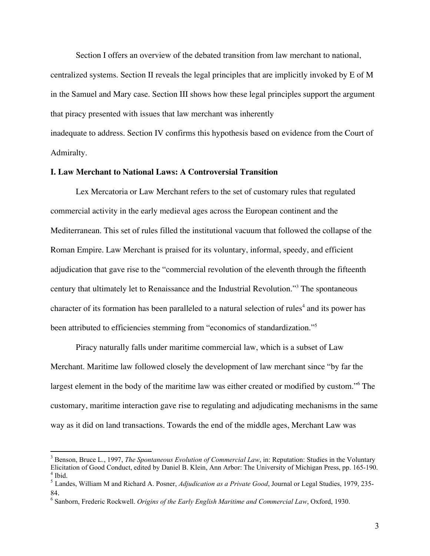Section I offers an overview of the debated transition from law merchant to national, centralized systems. Section II reveals the legal principles that are implicitly invoked by E of M in the Samuel and Mary case. Section III shows how these legal principles support the argument that piracy presented with issues that law merchant was inherently

inadequate to address. Section IV confirms this hypothesis based on evidence from the Court of Admiralty.

# **I. Law Merchant to National Laws: A Controversial Transition**

Lex Mercatoria or Law Merchant refers to the set of customary rules that regulated commercial activity in the early medieval ages across the European continent and the Mediterranean. This set of rules filled the institutional vacuum that followed the collapse of the Roman Empire. Law Merchant is praised for its voluntary, informal, speedy, and efficient adjudication that gave rise to the "commercial revolution of the eleventh through the fifteenth century that ultimately let to Renaissance and the Industrial Revolution."3 The spontaneous character of its formation has been paralleled to a natural selection of rules <sup>4</sup> and its power has been attributed to efficiencies stemming from "economics of standardization."<sup>5</sup>

Piracy naturally falls under maritime commercial law, which is a subset of Law Merchant. Maritime law followed closely the development of law merchant since "by far the largest element in the body of the maritime law was either created or modified by custom."6 The customary, maritime interaction gave rise to regulating and adjudicating mechanisms in the same way as it did on land transactions. Towards the end of the middle ages, Merchant Law was

 <sup>3</sup> Benson, Bruce L., 1997, *The Spontaneous Evolution of Commercial Law*, in: Reputation: Studies in the Voluntary Elicitation of Good Conduct, edited by Daniel B. Klein, Ann Arbor: The University of Michigan Press, pp. 165-190.<br><sup>4</sup> Ibid.<br><sup>5</sup> Landes, William M and Richard A. Posner, *Adjudication as a Private Good*, Journal or Legal St

<sup>84.</sup> <sup>6</sup> Sanborn, Frederic Rockwell. *Origins of the Early English Maritime and Commercial Law*, Oxford, 1930.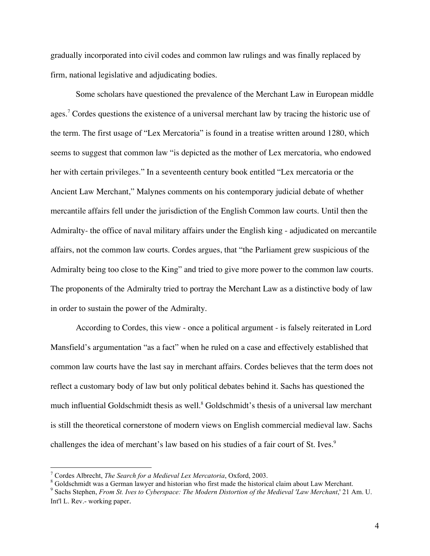gradually incorporated into civil codes and common law rulings and was finally replaced by firm, national legislative and adjudicating bodies.

Some scholars have questioned the prevalence of the Merchant Law in European middle ages.<sup>7</sup> Cordes questions the existence of a universal merchant law by tracing the historic use of the term. The first usage of "Lex Mercatoria" is found in a treatise written around 1280, which seems to suggest that common law "is depicted as the mother of Lex mercatoria, who endowed her with certain privileges." In a seventeenth century book entitled "Lex mercatoria or the Ancient Law Merchant," Malynes comments on his contemporary judicial debate of whether mercantile affairs fell under the jurisdiction of the English Common law courts. Until then the Admiralty- the office of naval military affairs under the English king - adjudicated on mercantile affairs, not the common law courts. Cordes argues, that "the Parliament grew suspicious of the Admiralty being too close to the King" and tried to give more power to the common law courts. The proponents of the Admiralty tried to portray the Merchant Law as a distinctive body of law in order to sustain the power of the Admiralty.

According to Cordes, this view - once a political argument - is falsely reiterated in Lord Mansfield's argumentation "as a fact" when he ruled on a case and effectively established that common law courts have the last say in merchant affairs. Cordes believes that the term does not reflect a customary body of law but only political debates behind it. Sachs has questioned the much influential Goldschmidt thesis as well. <sup>8</sup> Goldschmidt's thesis of a universal law merchant is still the theoretical cornerstone of modern views on English commercial medieval law. Sachs challenges the idea of merchant's law based on his studies of a fair court of St. Ives.<sup>9</sup>

<sup>&</sup>lt;sup>7</sup> Cordes Albrecht, *The Search for a Medieval Lex Mercatoria*, Oxford, 2003.<br><sup>8</sup> Goldschmidt was a German lawyer and historian who first made the historical claim about Law Merchant.<br><sup>9</sup> Sachs Stephen, *From St. Ives to* Int'l L. Rev.- working paper.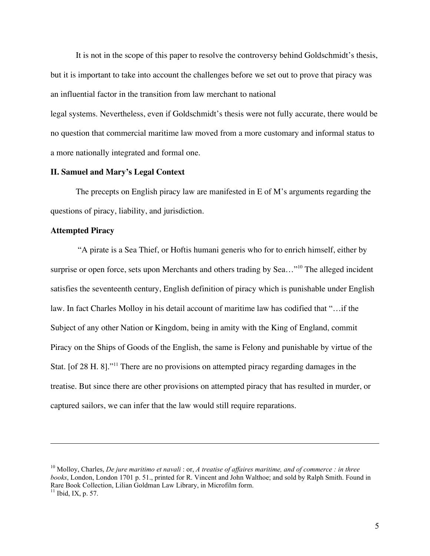It is not in the scope of this paper to resolve the controversy behind Goldschmidt's thesis, but it is important to take into account the challenges before we set out to prove that piracy was an influential factor in the transition from law merchant to national

legal systems. Nevertheless, even if Goldschmidt's thesis were not fully accurate, there would be no question that commercial maritime law moved from a more customary and informal status to a more nationally integrated and formal one.

# **II. Samuel and Mary's Legal Context**

The precepts on English piracy law are manifested in E of M's arguments regarding the questions of piracy, liability, and jurisdiction.

# **Attempted Piracy**

 $\overline{a}$ 

 "A pirate is a Sea Thief, or Hoftis humani generis who for to enrich himself, either by surprise or open force, sets upon Merchants and others trading by Sea..."<sup>10</sup> The alleged incident satisfies the seventeenth century, English definition of piracy which is punishable under English law. In fact Charles Molloy in his detail account of maritime law has codified that "…if the Subject of any other Nation or Kingdom, being in amity with the King of England, commit Piracy on the Ships of Goods of the English, the same is Felony and punishable by virtue of the Stat. [of 28 H. 8]."<sup>11</sup> There are no provisions on attempted piracy regarding damages in the treatise. But since there are other provisions on attempted piracy that has resulted in murder, or captured sailors, we can infer that the law would still require reparations.

<sup>10</sup> Molloy, Charles, *De jure maritimo et navali* : or, *A treatise of affaires maritime, and of commerce : in three books*, London, London 1701 p. 51., printed for R. Vincent and John Walthoe; and sold by Ralph Smith. Found in Rare Book Collection, Lilian Goldman Law Library, in Microfilm form. <sup>11</sup> Ibid, IX, p. 57.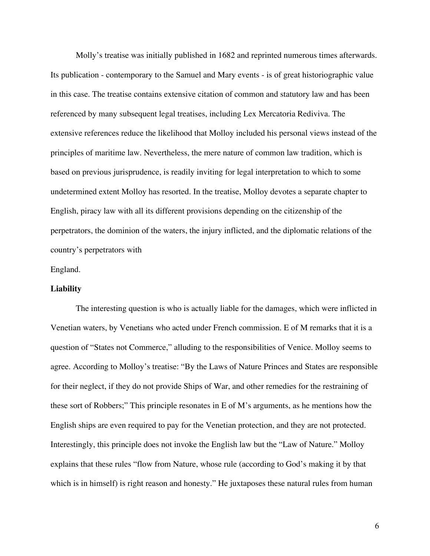Molly's treatise was initially published in 1682 and reprinted numerous times afterwards. Its publication - contemporary to the Samuel and Mary events - is of great historiographic value in this case. The treatise contains extensive citation of common and statutory law and has been referenced by many subsequent legal treatises, including Lex Mercatoria Rediviva. The extensive references reduce the likelihood that Molloy included his personal views instead of the principles of maritime law. Nevertheless, the mere nature of common law tradition, which is based on previous jurisprudence, is readily inviting for legal interpretation to which to some undetermined extent Molloy has resorted. In the treatise, Molloy devotes a separate chapter to English, piracy law with all its different provisions depending on the citizenship of the perpetrators, the dominion of the waters, the injury inflicted, and the diplomatic relations of the country's perpetrators with

#### England.

#### **Liability**

The interesting question is who is actually liable for the damages, which were inflicted in Venetian waters, by Venetians who acted under French commission. E of M remarks that it is a question of "States not Commerce," alluding to the responsibilities of Venice. Molloy seems to agree. According to Molloy's treatise: "By the Laws of Nature Princes and States are responsible for their neglect, if they do not provide Ships of War, and other remedies for the restraining of these sort of Robbers;" This principle resonates in E of M's arguments, as he mentions how the English ships are even required to pay for the Venetian protection, and they are not protected. Interestingly, this principle does not invoke the English law but the "Law of Nature." Molloy explains that these rules "flow from Nature, whose rule (according to God's making it by that which is in himself) is right reason and honesty." He juxtaposes these natural rules from human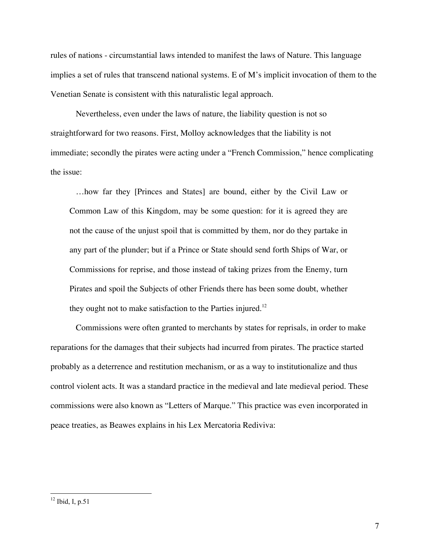rules of nations - circumstantial laws intended to manifest the laws of Nature. This language implies a set of rules that transcend national systems. E of M's implicit invocation of them to the Venetian Senate is consistent with this naturalistic legal approach.

Nevertheless, even under the laws of nature, the liability question is not so straightforward for two reasons. First, Molloy acknowledges that the liability is not immediate; secondly the pirates were acting under a "French Commission," hence complicating the issue:

…how far they [Princes and States] are bound, either by the Civil Law or Common Law of this Kingdom, may be some question: for it is agreed they are not the cause of the unjust spoil that is committed by them, nor do they partake in any part of the plunder; but if a Prince or State should send forth Ships of War, or Commissions for reprise, and those instead of taking prizes from the Enemy, turn Pirates and spoil the Subjects of other Friends there has been some doubt, whether they ought not to make satisfaction to the Parties injured.<sup>12</sup>

Commissions were often granted to merchants by states for reprisals, in order to make reparations for the damages that their subjects had incurred from pirates. The practice started probably as a deterrence and restitution mechanism, or as a way to institutionalize and thus control violent acts. It was a standard practice in the medieval and late medieval period. These commissions were also known as "Letters of Marque." This practice was even incorporated in peace treaties, as Beawes explains in his Lex Mercatoria Rediviva:

 $12$  Ibid, I, p.51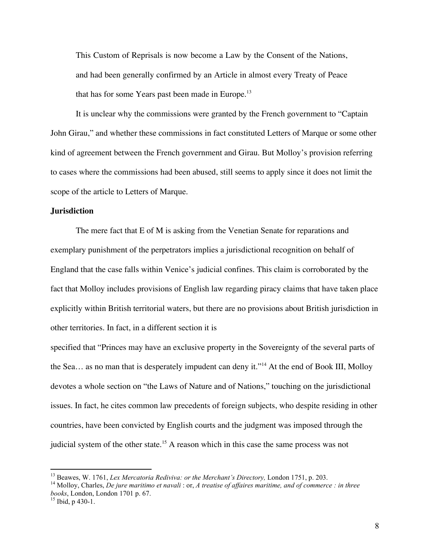This Custom of Reprisals is now become a Law by the Consent of the Nations, and had been generally confirmed by an Article in almost every Treaty of Peace that has for some Years past been made in Europe.<sup>13</sup>

It is unclear why the commissions were granted by the French government to "Captain John Girau," and whether these commissions in fact constituted Letters of Marque or some other kind of agreement between the French government and Girau. But Molloy's provision referring to cases where the commissions had been abused, still seems to apply since it does not limit the scope of the article to Letters of Marque.

# **Jurisdiction**

The mere fact that E of M is asking from the Venetian Senate for reparations and exemplary punishment of the perpetrators implies a jurisdictional recognition on behalf of England that the case falls within Venice's judicial confines. This claim is corroborated by the fact that Molloy includes provisions of English law regarding piracy claims that have taken place explicitly within British territorial waters, but there are no provisions about British jurisdiction in other territories. In fact, in a different section it is

specified that "Princes may have an exclusive property in the Sovereignty of the several parts of the Sea... as no man that is desperately impudent can deny it."<sup>14</sup> At the end of Book III, Molloy devotes a whole section on "the Laws of Nature and of Nations," touching on the jurisdictional issues. In fact, he cites common law precedents of foreign subjects, who despite residing in other countries, have been convicted by English courts and the judgment was imposed through the judicial system of the other state.<sup>15</sup> A reason which in this case the same process was not

<sup>&</sup>lt;sup>13</sup> Beawes, W. 1761, Lex Mercatoria Rediviva: or the Merchant's Directory, London 1751, p. 203.<br><sup>14</sup> Molloy, Charles, *De jure maritimo et navali*: or, *A treatise of affaires maritime, and of commerce : in three books*, London, London <sup>1701</sup> p. 67. <sup>15</sup> Ibid, <sup>p</sup> 430-1.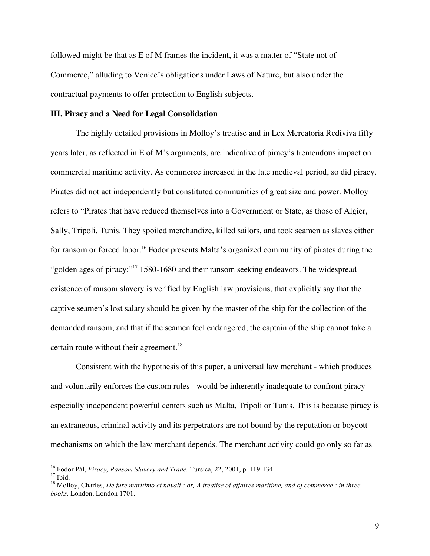followed might be that as E of M frames the incident, it was a matter of "State not of Commerce," alluding to Venice's obligations under Laws of Nature, but also under the contractual payments to offer protection to English subjects.

# **III. Piracy and a Need for Legal Consolidation**

The highly detailed provisions in Molloy's treatise and in Lex Mercatoria Rediviva fifty years later, as reflected in E of M's arguments, are indicative of piracy's tremendous impact on commercial maritime activity. As commerce increased in the late medieval period, so did piracy. Pirates did not act independently but constituted communities of great size and power. Molloy refers to "Pirates that have reduced themselves into a Government or State, as those of Algier, Sally, Tripoli, Tunis. They spoiled merchandize, killed sailors, and took seamen as slaves either for ransom or forced labor.<sup>16</sup> Fodor presents Malta's organized community of pirates during the "golden ages of piracy:"<sup>17</sup> 1580-1680 and their ransom seeking endeavors. The widespread existence of ransom slavery is verified by English law provisions, that explicitly say that the captive seamen's lost salary should be given by the master of the ship for the collection of the demanded ransom, and that if the seamen feel endangered, the captain of the ship cannot take a certain route without their agreement.<sup>18</sup>

Consistent with the hypothesis of this paper, a universal law merchant - which produces and voluntarily enforces the custom rules - would be inherently inadequate to confront piracy especially independent powerful centers such as Malta, Tripoli or Tunis. This is because piracy is an extraneous, criminal activity and its perpetrators are not bound by the reputation or boycott mechanisms on which the law merchant depends. The merchant activity could go only so far as

<sup>&</sup>lt;sup>16</sup> Fodor Pál, *Piracy, Ransom Slavery and Trade.* Tursica, 22, 2001, p. 119-134.<br><sup>17</sup> Ibid.<br><sup>18</sup> Mollov, Charles, *De jure maritimo et navali : or, A treatise of affaires maritime, and of commerce : in three books,* London, London 1701.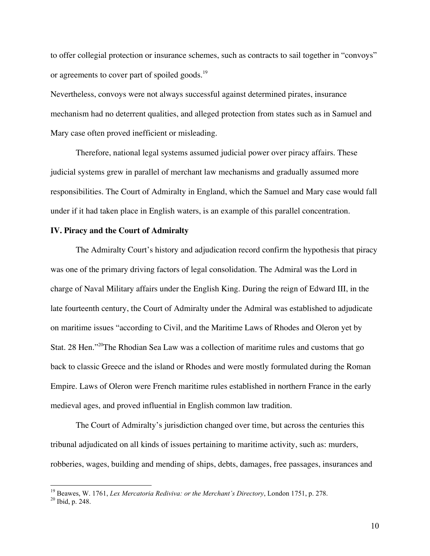to offer collegial protection or insurance schemes, such as contracts to sail together in "convoys" or agreements to cover part of spoiled goods.<sup>19</sup>

Nevertheless, convoys were not always successful against determined pirates, insurance mechanism had no deterrent qualities, and alleged protection from states such as in Samuel and Mary case often proved inefficient or misleading.

Therefore, national legal systems assumed judicial power over piracy affairs. These judicial systems grew in parallel of merchant law mechanisms and gradually assumed more responsibilities. The Court of Admiralty in England, which the Samuel and Mary case would fall under if it had taken place in English waters, is an example of this parallel concentration.

# **IV. Piracy and the Court of Admiralty**

The Admiralty Court's history and adjudication record confirm the hypothesis that piracy was one of the primary driving factors of legal consolidation. The Admiral was the Lord in charge of Naval Military affairs under the English King. During the reign of Edward III, in the late fourteenth century, the Court of Admiralty under the Admiral was established to adjudicate on maritime issues "according to Civil, and the Maritime Laws of Rhodes and Oleron yet by Stat. 28 Hen."20The Rhodian Sea Law was a collection of maritime rules and customs that go back to classic Greece and the island or Rhodes and were mostly formulated during the Roman Empire. Laws of Oleron were French maritime rules established in northern France in the early medieval ages, and proved influential in English common law tradition.

The Court of Admiralty's jurisdiction changed over time, but across the centuries this tribunal adjudicated on all kinds of issues pertaining to maritime activity, such as: murders, robberies, wages, building and mending of ships, debts, damages, free passages, insurances and

<sup>&</sup>lt;sup>19</sup> Beawes, W. 1761, *Lex Mercatoria Rediviva: or the Merchant's Directory*, London 1751, p. 278. <sup>20</sup> Ibid. p. 248.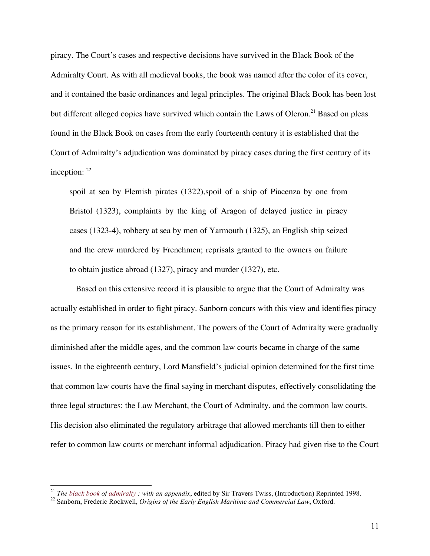piracy. The Court's cases and respective decisions have survived in the Black Book of the Admiralty Court. As with all medieval books, the book was named after the color of its cover, and it contained the basic ordinances and legal principles. The original Black Book has been lost but different alleged copies have survived which contain the Laws of Oleron.<sup>21</sup> Based on pleas found in the Black Book on cases from the early fourteenth century it is established that the Court of Admiralty's adjudication was dominated by piracy cases during the first century of its inception: <sup>22</sup>

spoil at sea by Flemish pirates (1322),spoil of a ship of Piacenza by one from Bristol (1323), complaints by the king of Aragon of delayed justice in piracy cases (1323-4), robbery at sea by men of Yarmouth (1325), an English ship seized and the crew murdered by Frenchmen; reprisals granted to the owners on failure to obtain justice abroad (1327), piracy and murder (1327), etc.

Based on this extensive record it is plausible to argue that the Court of Admiralty was actually established in order to fight piracy. Sanborn concurs with this view and identifies piracy as the primary reason for its establishment. The powers of the Court of Admiralty were gradually diminished after the middle ages, and the common law courts became in charge of the same issues. In the eighteenth century, Lord Mansfield's judicial opinion determined for the first time that common law courts have the final saying in merchant disputes, effectively consolidating the three legal structures: the Law Merchant, the Court of Admiralty, and the common law courts. His decision also eliminated the regulatory arbitrage that allowed merchants till then to either refer to common law courts or merchant informal adjudication. Piracy had given rise to the Court

<sup>&</sup>lt;sup>21</sup> *The black book of admiralty : with an appendix, edited by Sir Travers Twiss, (Introduction) Reprinted 1998.* <sup>22</sup> Sanborn, Frederic Rockwell, *Origins of the Early English Maritime and Commercial Law, Oxford.*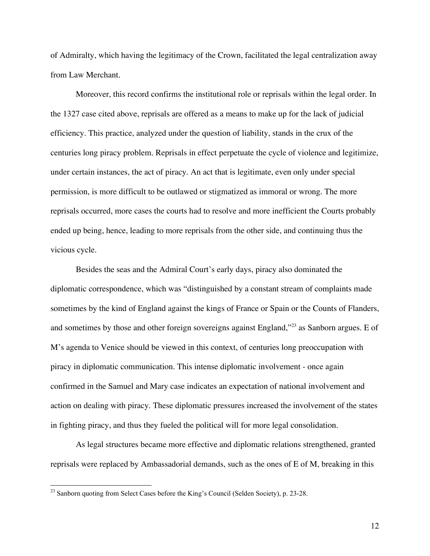of Admiralty, which having the legitimacy of the Crown, facilitated the legal centralization away from Law Merchant.

Moreover, this record confirms the institutional role or reprisals within the legal order. In the 1327 case cited above, reprisals are offered as a means to make up for the lack of judicial efficiency. This practice, analyzed under the question of liability, stands in the crux of the centuries long piracy problem. Reprisals in effect perpetuate the cycle of violence and legitimize, under certain instances, the act of piracy. An act that is legitimate, even only under special permission, is more difficult to be outlawed or stigmatized as immoral or wrong. The more reprisals occurred, more cases the courts had to resolve and more inefficient the Courts probably ended up being, hence, leading to more reprisals from the other side, and continuing thus the vicious cycle.

Besides the seas and the Admiral Court's early days, piracy also dominated the diplomatic correspondence, which was "distinguished by a constant stream of complaints made sometimes by the kind of England against the kings of France or Spain or the Counts of Flanders, and sometimes by those and other foreign sovereigns against England,"<sup>23</sup> as Sanborn argues. E of M's agenda to Venice should be viewed in this context, of centuries long preoccupation with piracy in diplomatic communication. This intense diplomatic involvement - once again confirmed in the Samuel and Mary case indicates an expectation of national involvement and action on dealing with piracy. These diplomatic pressures increased the involvement of the states in fighting piracy, and thus they fueled the political will for more legal consolidation.

As legal structures became more effective and diplomatic relations strengthened, granted reprisals were replaced by Ambassadorial demands, such as the ones of E of M, breaking in this

<sup>&</sup>lt;sup>23</sup> Sanborn quoting from Select Cases before the King's Council (Selden Society), p. 23-28.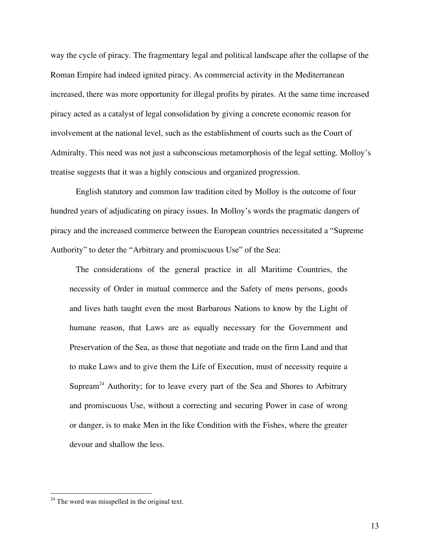way the cycle of piracy. The fragmentary legal and political landscape after the collapse of the Roman Empire had indeed ignited piracy. As commercial activity in the Mediterranean increased, there was more opportunity for illegal profits by pirates. At the same time increased piracy acted as a catalyst of legal consolidation by giving a concrete economic reason for involvement at the national level, such as the establishment of courts such as the Court of Admiralty. This need was not just a subconscious metamorphosis of the legal setting. Molloy's treatise suggests that it was a highly conscious and organized progression.

English statutory and common law tradition cited by Molloy is the outcome of four hundred years of adjudicating on piracy issues. In Molloy's words the pragmatic dangers of piracy and the increased commerce between the European countries necessitated a "Supreme Authority" to deter the "Arbitrary and promiscuous Use" of the Sea:

The considerations of the general practice in all Maritime Countries, the necessity of Order in mutual commerce and the Safety of mens persons, goods and lives hath taught even the most Barbarous Nations to know by the Light of humane reason, that Laws are as equally necessary for the Government and Preservation of the Sea, as those that negotiate and trade on the firm Land and that to make Laws and to give them the Life of Execution, must of necessity require a Supream<sup>24</sup> Authority; for to leave every part of the Sea and Shores to Arbitrary and promiscuous Use, without a correcting and securing Power in case of wrong or danger, is to make Men in the like Condition with the Fishes, where the greater devour and shallow the less.

<sup>&</sup>lt;sup>24</sup> The word was misspelled in the original text.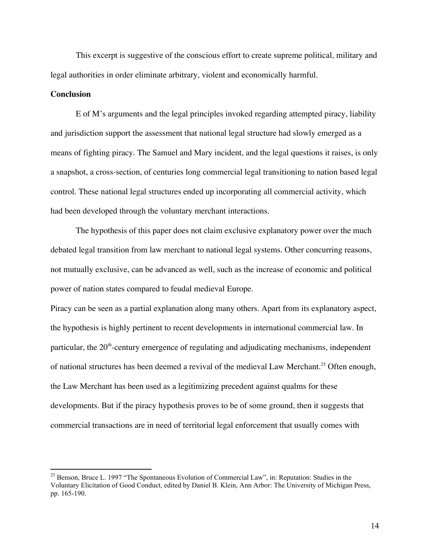This excerpt is suggestive of the conscious effort to create supreme political, military and legal authorities in order eliminate arbitrary, violent and economically harmful.

#### **Conclusion**

E of M's arguments and the legal principles invoked regarding attempted piracy, liability and jurisdiction support the assessment that national legal structure had slowly emerged as a means of fighting piracy. The Samuel and Mary incident, and the legal questions it raises, is only a snapshot, a cross-section, of centuries long commercial legal transitioning to nation based legal control. These national legal structures ended up incorporating all commercial activity, which had been developed through the voluntary merchant interactions.

The hypothesis of this paper does not claim exclusive explanatory power over the much debated legal transition from law merchant to national legal systems. Other concurring reasons, not mutually exclusive, can be advanced as well, such as the increase of economic and political power of nation states compared to feudal medieval Europe.

Piracy can be seen as a partial explanation along many others. Apart from its explanatory aspect, the hypothesis is highly pertinent to recent developments in international commercial law. In particular, the 20<sup>th</sup>-century emergence of regulating and adjudicating mechanisms, independent of national structures has been deemed a revival of the medieval Law Merchant.<sup>25</sup> Often enough, the Law Merchant has been used as a legitimizing precedent against qualms for these developments. But if the piracy hypothesis proves to be of some ground, then it suggests that commercial transactions are in need of territorial legal enforcement that usually comes with

<sup>&</sup>lt;sup>25</sup> Benson, Bruce L. 1997 "The Spontaneous Evolution of Commercial Law", in: Reputation: Studies in the Voluntary Elicitation of Good Conduct, edited by Daniel B. Klein, Ann Arbor: The University of Michigan Press, pp. 165-190.